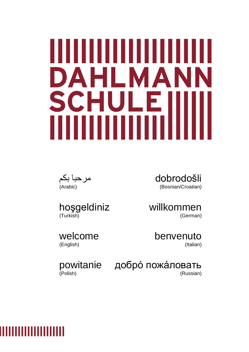# DAHLMA SCH Е UI

مرحبا بكم (Arabic)

dobrodošli (Bosnian/Croatian)

hoşgeldiniz (Turkish)

welcome (English)

willkommen (German)

> benvenuto (Italian)

(Polish)

powitanie добро́ пожа́ловать (Russian)

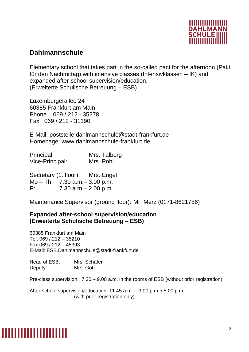

#### **Dahlmannschule**

Elementary school that takes part in the so-called pact for the afternoon (Pakt für den Nachmittag) with intensive classes (Intensivklassen – IK) and expanded after-school supervision/education. (Erweiterte Schulische Betreuung – ESB)

Luxemburgerallee 24 60385 Frankfurt am Main Phone.: 069 / 212 - 35278 Fax: 069 / 212 - 31190

E-Mail: poststelle.dahlmannschule@stadt-frankfurt.de Homepage: www.dahlmannschule-frankfurt.de

| Principal:             | Mrs. Talberg |
|------------------------|--------------|
| <b>Vice-Principal:</b> | Mrs. Pohl    |

Secretary (1. floor): Mrs. Engel Mo – Th 7.30 a.m.– 3.00 p.m. Fr 7.30 a.m.– 2.00 p.m.

Maintenance Supervisor (ground floor): Mr. Merz (0171-8621756)

#### **Expanded after-school supervision/education (Erweiterte Schulische Betreuung – ESB)**

60385 Frankfurt am Main Tel. 069 / 212 – 35210 Fax 069 / 212 – 45393 E-Mail: [ESB.Dahlmannschule@stadt-frankfurt.de](mailto:ESB.Dahlmannschule@stadt-frankfurt.de)

Head of ESB: Mrs. Schäfer Deputy: Mrs. Götz

Pre-class supervision: 7.30 – 9.00 a.m. in the rooms of ESB (without prior registration)

After-school supervision/education: 11.45 a.m. – 3.00 p.m. / 5.00 p.m. (with prior registration only)

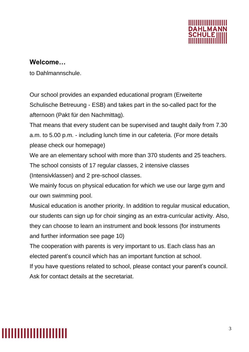

#### **Welcome…**

to Dahlmannschule.

Our school provides an expanded educational program (Erweiterte Schulische Betreuung - ESB) and takes part in the so-called pact for the afternoon (Pakt für den Nachmittag).

That means that every student can be supervised and taught daily from 7.30 a.m. to 5.00 p.m. - including lunch time in our cafeteria. (For more details please check our homepage)

We are an elementary school with more than 370 students and 25 teachers. The school consists of 17 regular classes, 2 intensive classes (Intensivklassen) and 2 pre-school classes.

We mainly focus on physical education for which we use our large gym and our own swimming pool.

Musical education is another priority. In addition to regular musical education, our students can sign up for choir singing as an extra-curricular activity. Also, they can choose to learn an instrument and book lessons (for instruments and further information see page 10)

The cooperation with parents is very important to us. Each class has an elected parent's council which has an important function at school.

If you have questions related to school, please contact your parent's council. Ask for contact details at the secretariat.

# ,,,,,,,,,,,,,,,,,,,,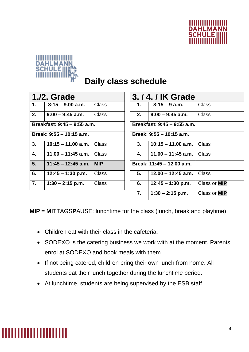



### **Daily class schedule**

| 1./2. Grade                 |                      |              |
|-----------------------------|----------------------|--------------|
| $\mathbf 1$ .               | $8:15 - 9.00$ a.m.   | Class        |
| 2.                          | $9:00 - 9:45$ a.m.   | Class        |
| Breakfast: 9:45 - 9:55 a.m. |                      |              |
| Break: 9:55 – 10:15 a.m.    |                      |              |
| 3.                          | $10:15 - 11.00$ a.m. | Class        |
| 4.                          | $11.00 - 11:45$ a.m. | Class        |
| 5.                          | $11:45 - 12:45$ a.m. | MIP          |
| 6.                          | $12:45 - 1:30$ p.m.  | <b>Class</b> |
| $\mathbf{7}_{\cdot}$        | $1:30 - 2:15$ p.m.   | Class        |
|                             |                      |              |

| 3. / 4. / IK Grade               |                     |  |
|----------------------------------|---------------------|--|
| $8:15 - 9$ a.m.                  | Class               |  |
| $9:00 - 9:45$ a.m.               | Class               |  |
| Breakfast: 9:45 - 9:55 a.m.      |                     |  |
| Break: 9:55 - 10:15 a.m.         |                     |  |
| 10:15 – 11.00 a.m. $\vert$ Class |                     |  |
| 11.00 $-$ 11:45 a.m.   Class     |                     |  |
| Break: 11:45 - 12.00 a.m.        |                     |  |
| $12.00 - 12:45$ a.m.             | Class               |  |
| $12:45 - 1:30$ p.m.              | Class or <b>MIP</b> |  |
| $1:30 - 2:15$ p.m.               | Class or <b>MIP</b> |  |
|                                  |                     |  |

**MIP = MI**TTAGS**P**AUSE: lunchtime for the class (lunch, break and playtime)

- Children eat with their class in the cafeteria.
- SODEXO is the catering business we work with at the moment. Parents enrol at SODEXO and book meals with them.
- If not being catered, children bring their own lunch from home. All students eat their lunch together during the lunchtime period.
- At lunchtime, students are being supervised by the ESB staff.

# ,,,,,,,,,,,,,,,,,,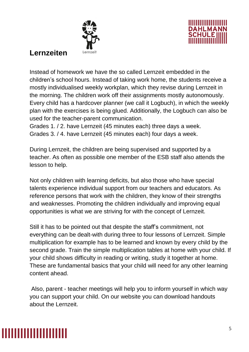



#### **Lernzeiten**

Instead of homework we have the so called Lernzeit embedded in the children's school hours. Instead of taking work home, the students receive a mostly individualised weekly workplan, which they revise during Lernzeit in the morning. The children work off their assignments mostly autonomously. Every child has a hardcover planner (we call it Logbuch), in which the weekly plan with the exercises is being glued. Additionally, the Logbuch can also be used for the teacher-parent communication.

Grades 1. / 2. have Lernzeit (45 minutes each) three days a week. Grades 3. / 4. have Lernzeit (45 minutes each) four days a week.

During Lernzeit, the children are being supervised and supported by a teacher. As often as possible one member of the ESB staff also attends the lesson to help.

Not only children with learning deficits, but also those who have special talents experience individual support from our teachers and educators. As reference persons that work with the children, they know of their strengths and weaknesses. Promoting the children individually and improving equal opportunities is what we are striving for with the concept of Lernzeit.

Still it has to be pointed out that despite the staff's commitment, not everything can be dealt-with during three to four lessons of Lernzeit. Simple multiplication for example has to be learned and known by every child by the second grade. Train the simple multiplication tables at home with your child. If your child shows difficulty in reading or writing, study it together at home. These are fundamental basics that your child will need for any other learning content ahead.

Also, parent - teacher meetings will help you to inform yourself in which way you can support your child. On our website you can download handouts about the Lernzeit.

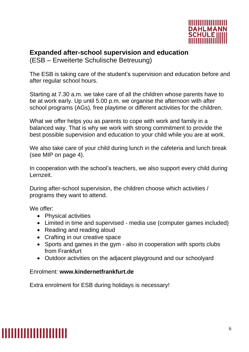

#### **Expanded after-school supervision and education**

(ESB – Erweiterte Schulische Betreuung)

The ESB is taking care of the student's supervision and education before and after regular school hours.

Starting at 7.30 a.m. we take care of all the children whose parents have to be at work early. Up until 5.00 p.m. we organise the afternoon with after school programs (AGs), free playtime or different activities for the children.

What we offer helps you as parents to cope with work and family in a balanced way. That is why we work with strong commitment to provide the best possible supervision and education to your child while you are at work.

We also take care of your child during lunch in the cafeteria and lunch break (see MIP on page 4).

In cooperation with the school's teachers, we also support every child during Lernzeit.

During after-school supervision, the children choose which activities / programs they want to attend.

We offer:

- Physical activities
- Limited in time and supervised media use (computer games included)
- Reading and reading aloud
- Crafting in our creative space
- Sports and games in the gym also in cooperation with sports clubs from Frankfurt
- Outdoor activities on the adjacent playground and our schoolyard

#### Enrolment: **[www.kindernetfrankfurt.de](http://www.kindernetfrankfurt.de/)**

Extra enrolment for ESB during holidays is necessary!

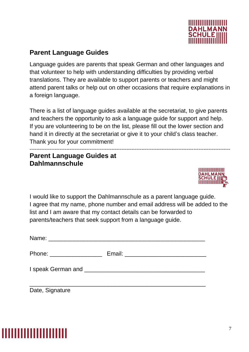

#### **Parent Language Guides**

Language guides are parents that speak German and other languages and that volunteer to help with understanding difficulties by providing verbal translations. They are available to support parents or teachers and might attend parent talks or help out on other occasions that require explanations in a foreign language.

There is a list of language guides available at the secretariat, to give parents and teachers the opportunity to ask a language guide for support and help. If you are volunteering to be on the list, please fill out the lower section and hand it in directly at the secretariat or give it to your child's class teacher. Thank you for your commitment!

#### ------------------------------------------------------------------------------------------------------------------------ **Parent Language Guides at Dahlmannschule**



I would like to support the Dahlmannschule as a parent language guide. I agree that my name, phone number and email address will be added to the list and I am aware that my contact details can be forwarded to parents/teachers that seek support from a language guide.

| Phone: ____________________ |  |
|-----------------------------|--|
|                             |  |
| Date, Signature             |  |

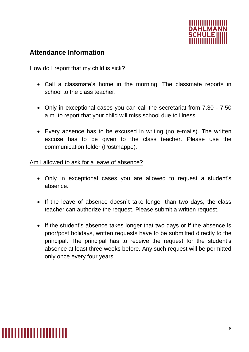

#### **Attendance Information**

#### How do I report that my child is sick?

- Call a classmate's home in the morning. The classmate reports in school to the class teacher.
- Only in exceptional cases you can call the secretariat from 7.30 7.50 a.m. to report that your child will miss school due to illness.
- Every absence has to be excused in writing (no e-mails). The written excuse has to be given to the class teacher. Please use the communication folder (Postmappe).

Am I allowed to ask for a leave of absence?

- Only in exceptional cases you are allowed to request a student's absence.
- If the leave of absence doesn`t take longer than two days, the class teacher can authorize the request. Please submit a written request.
- If the student's absence takes longer that two days or if the absence is prior/post holidays, written requests have to be submitted directly to the principal. The principal has to receive the request for the student's absence at least three weeks before. Any such request will be permitted only once every four years.

### <u> 111111111111111111111</u>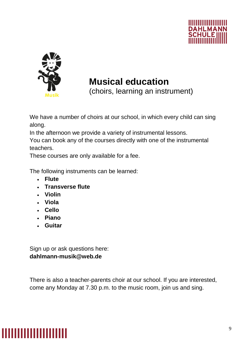



### **Musical education**

(choirs, learning an instrument)

We have a number of choirs at our school, in which every child can sing along.

In the afternoon we provide a variety of instrumental lessons.

You can book any of the courses directly with one of the instrumental teachers.

These courses are only available for a fee.

The following instruments can be learned:

- **Flute**
- **Transverse flute**
- **Violin**
- **Viola**
- **Cello**
- **Piano**
- **Guitar**

Sign up or ask questions here: **dahlmann-musik@web.de**

There is also a teacher-parents choir at our school. If you are interested, come any Monday at 7.30 p.m. to the music room, join us and sing.

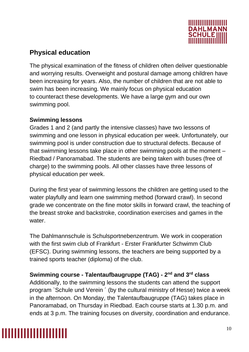

#### **Physical education**

The physical examination of the fitness of children often deliver questionable and worrying results. Overweight and postural damage among children have been increasing for years. Also, the number of children that are not able to swim has been increasing. We mainly focus on physical education to counteract these developments. We have a large gym and our own swimming pool.

#### **Swimming lessons**

Grades 1 and 2 (and partly the intensive classes) have two lessons of swimming and one lesson in physical education per week. Unfortunately, our swimming pool is under construction due to structural defects. Because of that swimming lessons take place in other swimming pools at the moment – Riedbad / Panoramabad. The students are being taken with buses (free of charge) to the swimming pools. All other classes have three lessons of physical education per week.

During the first year of swimming lessons the children are getting used to the water playfully and learn one swimming method (forward crawl). In second grade we concentrate on the fine motor skills in forward crawl, the teaching of the breast stroke and backstroke, coordination exercises and games in the water.

The Dahlmannschule is Schulsportnebenzentrum. We work in cooperation with the first swim club of Frankfurt - Erster Frankfurter Schwimm Club (EFSC). During swimming lessons, the teachers are being supported by a trained sports teacher (diploma) of the club.

**Swimming course - Talentaufbaugruppe (TAG) - 2 nd and 3rd class** Additionally, to the swimming lessons the students can attend the support program `Schule und Verein ´ (by the cultural ministry of Hesse) twice a week in the afternoon. On Monday, the Talentaufbaugruppe (TAG) takes place in Panoramabad, on Thursday in Riedbad. Each course starts at 1.30 p.m. and ends at 3 p.m. The training focuses on diversity, coordination and endurance.

### ,,,,,,,,,,,,,,,,,,,,,,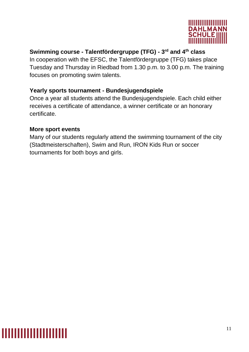

#### **Swimming course - Talentfördergruppe (TFG) - 3 rd and 4th class**

In cooperation with the EFSC, the Talentfördergruppe (TFG) takes place Tuesday and Thursday in Riedbad from 1.30 p.m. to 3.00 p.m. The training focuses on promoting swim talents.

#### **Yearly sports tournament - Bundesjugendspiele**

Once a year all students attend the Bundesjugendspiele. Each child either receives a certificate of attendance, a winner certificate or an honorary certificate.

#### **More sport events**

Many of our students regularly attend the swimming tournament of the city (Stadtmeisterschaften), Swim and Run, IRON Kids Run or soccer tournaments for both boys and girls.

### ,,,,,,,,,,,,,,,,,,,,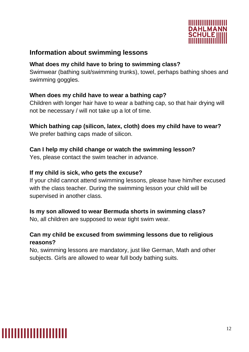

#### **Information about swimming lessons**

#### **What does my child have to bring to swimming class?**

Swimwear (bathing suit/swimming trunks), towel, perhaps bathing shoes and swimming goggles.

#### **When does my child have to wear a bathing cap?**

Children with longer hair have to wear a bathing cap, so that hair drying will not be necessary / will not take up a lot of time.

#### **Which bathing cap (silicon, latex, cloth) does my child have to wear?** We prefer bathing caps made of silicon.

#### **Can I help my child change or watch the swimming lesson?**

Yes, please contact the swim teacher in advance.

#### **If my child is sick, who gets the excuse?**

If your child cannot attend swimming lessons, please have him/her excused with the class teacher. During the swimming lesson your child will be supervised in another class.

#### **Is my son allowed to wear Bermuda shorts in swimming class?**

No, all children are supposed to wear tight swim wear.

#### **Can my child be excused from swimming lessons due to religious reasons?**

No, swimming lessons are mandatory, just like German, Math and other subjects. Girls are allowed to wear full body bathing suits.

# <u> 111111111111111111111</u>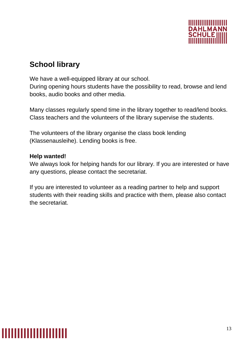

### **School library**

We have a well-equipped library at our school.

During opening hours students have the possibility to read, browse and lend books, audio books and other media.

Many classes regularly spend time in the library together to read/lend books. Class teachers and the volunteers of the library supervise the students.

The volunteers of the library organise the class book lending (Klassenausleihe). Lending books is free.

#### **Help wanted!**

We always look for helping hands for our library. If you are interested or have any questions, please contact the secretariat.

If you are interested to volunteer as a reading partner to help and support students with their reading skills and practice with them, please also contact the secretariat.

# ,,,,,,,,,,,,,,,,,,,,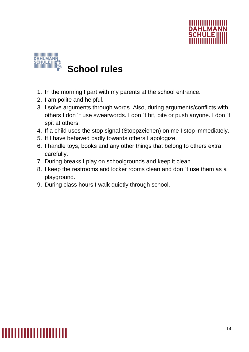



### **School rules**

- 1. In the morning I part with my parents at the school entrance.
- 2. I am polite and helpful.
- 3. I solve arguments through words. Also, during arguments/conflicts with others I don ´t use swearwords. I don ´t hit, bite or push anyone. I don ´t spit at others.
- 4. If a child uses the stop signal (Stoppzeichen) on me I stop immediately.
- 5. If I have behaved badly towards others I apologize.
- 6. I handle toys, books and any other things that belong to others extra carefully.
- 7. During breaks I play on schoolgrounds and keep it clean.
- 8. I keep the restrooms and locker rooms clean and don ´t use them as a playground.
- 9. During class hours I walk quietly through school.

### <u>TETERITIITIITIITIIT</u>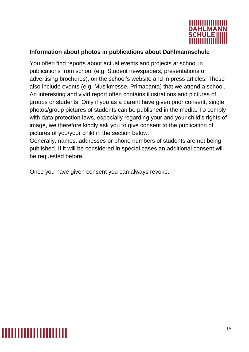

#### **Information about photos in publications about Dahlmannschule**

You often find reports about actual events and projects at school in publications from school (e.g. Student newspapers, presentations or advertising brochures), on the school's website and in press articles. These also include events (e.g. Musikmesse, Primacanta) that we attend a school. An interesting and vivid report often contains illustrations and pictures of groups or students. Only if you as a parent have given prior consent, single photos/group pictures of students can be published in the media. To comply with data protection laws, especially regarding your and your child's rights of image, we therefore kindly ask you to give consent to the publication of pictures of you/your child in the section below.

Generally, names, addresses or phone numbers of students are not being published. If it will be considered in special cases an additional consent will be requested before.

Once you have given consent you can always revoke.

### ,,,,,,,,,,,,,,,,,,,,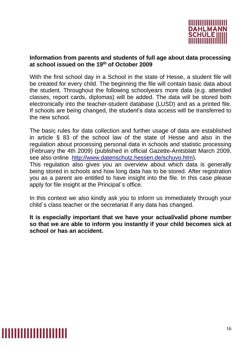

#### **Information from parents and students of full age about data processing at school issued on the 19th of October 2009**

With the first school day in a School in the state of Hesse, a student file will be created for every child. The beginning the file will contain basic data about the student. Throughout the following schoolyears more data (e.g. attended classes, report cards, diplomas) will be added. The data will be stored both electronically into the teacher-student database (LUSD) and as a printed file. If schools are being changed, the student's data access will be transferred to the new school.

The basic rules for data collection and further usage of data are established in article § 83 of the school law of the state of Hesse and also in the regulation about processing personal data in schools and statistic processing (February the 4th 2009) (published in official Gazette-Amtsblatt March 2009, see also online [http://www.datenschutz.hessen.de/schuvo.htm\)](http://www.datenschutz.hessen.de/schuvo.htm).

This regulation also gives you an overview about which data is generally being stored in schools and how long data has to be stored. After registration you as a parent are entitled to have insight into the file. In this case please apply for file insight at the Principal´s office.

In this context we also kindly ask you to inform us immediately through your child´s class teacher or the secretariat if any data has changed.

**It is especially important that we have your actual/valid phone number so that we are able to inform you instantly if your child becomes sick at school or has an accident.**

### ,,,,,,,,,,,,,,,,,,,,,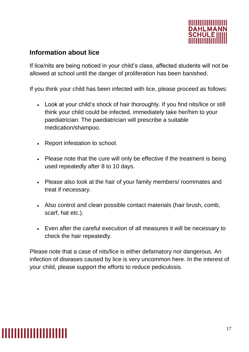

#### **Information about lice**

If lice/nits are being noticed in your child's class, affected students will not be allowed at school until the danger of proliferation has been banished.

If you think your child has been infected with lice, please proceed as follows:

- Look at your child's shock of hair thoroughly. If you find nits/lice or still think your child could be infected, immediately take her/him to your paediatrician. The paediatrician will prescribe a suitable medication/shampoo.
- Report infestation to school.
- Please note that the cure will only be effective if the treatment is being used repeatedly after 8 to 10 days.
- Please also look at the hair of your family members/ roommates and treat if necessary.
- Also control and clean possible contact materials (hair brush, comb, scarf, hat etc.).
- Even after the careful execution of all measures it will be necessary to check the hair repeatedly.

Please note that a case of nits/lice is either defamatory nor dangerous. An infection of diseases caused by lice is very uncommon here. In the interest of your child, please support the efforts to reduce pediculosis.

# <u> 111111111111111111111</u>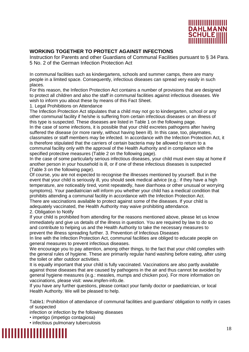

#### **WORKING TOGETHER TO PROTECT AGAINST INFECTIONS**

Instruction for Parents and other Guardians of Communal Facilities pursuant to § 34 Para. 5 No. 2 of the German Infection Protection Act

In communal facilities such as kindergartens, schools and summer camps, there are many people in a limited space. Consequently, infectious diseases can spread very easily in such places.

For this reason, the Infection Protection Act contains a number of provisions that are designed to protect all children and also the staff in communal facilities against infectious diseases. We wish to inform you about these by means of this Fact Sheet.

1. Legal Prohibitions on Attendance

The Infection Protection Act stipulates that a child may not go to kindergarten, school or any other communal facility if he/she is suffering from certain infectious diseases or an illness of this type is suspected. These diseases are listed in Table 1 on the following page.

In the case of some infections, it is possible that your child excretes pathogens after having suffered the disease (or more rarely, without having been ill). In this case, too, playmates, classmates or staff members may be infected. In accordance with the Infection Protection Act, it is therefore stipulated that the carriers of certain bacteria may be allowed to return to a communal facility only with the approval of the Health Authority and in compliance with the specified protective measures (Table 2 on the following page).

In the case of some particularly serious infectious diseases, your child must even stay at home if another person in your household is ill, or if one of these infectious diseases is suspected (Table 3 on the following page).

Of course, you are not expected to recognise the illnesses mentioned by yourself. But in the event that your child is seriously ill, you should seek medical advice (e.g.: if they have a high temperature, are noticeably tired, vomit repeatedly, have diarrhoea or other unusual or worrying symptoms). Your paediatrician will inform you whether your child has a medical condition that prohibits attending a communal facility in accordance with the Infection Protection Act.

There are vaccinations available to protect against some of the diseases. If your child is adequately vaccinated, the Health Authority may waive prohibiting attendance. 2. Obligation to Notify

If your child is prohibited from attending for the reasons mentioned above, please let us know immediately and give us details of the illness in question. You are required by law to do so and contribute to helping us and the Health Authority to take the necessary measures to prevent the illness spreading further. 3. Prevention of Infectious Diseases

In line with the Infection Protection Act, communal facilities are obliged to educate people on general measures to prevent infectious diseases.

We encourage you to pay attention, among other things, to the fact that your child complies with the general rules of hygiene. These are primarily regular hand washing before eating, after using the toilet or after outdoor activities.

It is equally important that your child is fully vaccinated. Vaccinations are also partly available against those diseases that are caused by pathogens in the air and thus cannot be avoided by general hygiene measures (e.g.: measles, mumps and chicken pox). For more information on vaccinations, please visit: www.impfen-info.de.

If you have any further questions, please contact your family doctor or paediatrician, or local Health Authority. We will be pleased to help.

Table1: Prohibition of attendance of communal facilities and guardians' obligation to notify in cases of suspected

infection or infection by the following diseases

• impetigo (impetigo contagiosa)

• infectious pulmonary tuberculosis

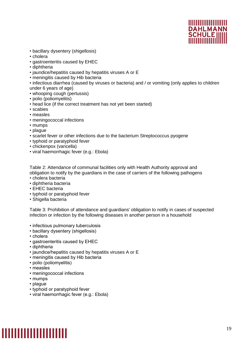

- bacillary dysentery (shigellosis)
- cholera
- gastroenteritis caused by EHEC
- diphtheria
- jaundice/hepatitis caused by hepatitis viruses A or E
- meningitis caused by Hib bacteria
- infectious diarrhea (caused by viruses or bacteria) and / or vomiting (only applies to children under 6 years of age)
- whooping cough (pertussis)
- polio (poliomyelitis)
- head lice (if the correct treatment has not yet been started)
- scabies
- measles
- meningococcal infections
- mumps
- plague
- scarlet fever or other infections due to the bacterium Streptococcus pyogene
- typhoid or paratyphoid fever
- chickenpox (varicella)
- viral haemorrhagic fever (e.g.: Ebola)

Table 2: Attendance of communal facilities only with Health Authority approval and obligation to notify by the guardians in the case of carriers of the following pathogens

- cholera bacteria
- diphtheria bacteria
- EHEC bacteria
- typhoid or paratyphoid fever
- Shigella bacteria

Table 3: Prohibition of attendance and guardians' obligation to notify in cases of suspected infection or infection by the following diseases in another person in a household

- infectious pulmonary tuberculosis
- bacillary dysentery (shigellosis)
- cholera
- gastroenteritis caused by EHEC
- diphtheria
- jaundice/hepatitis caused by hepatitis viruses A or E
- meningitis caused by Hib bacteria
- polio (poliomyelitis)
- measles
- meningococcal infections
- mumps
- plague
- typhoid or paratyphoid fever
- viral haemorrhagic fever (e.g.: Ebola)

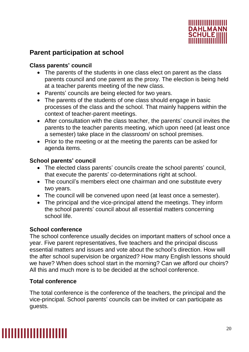

#### **Parent participation at school**

#### **Class parents' council**

- The parents of the students in one class elect on parent as the class parents council and one parent as the proxy. The election is being held at a teacher parents meeting of the new class.
- Parents' councils are being elected for two years.
- The parents of the students of one class should engage in basic processes of the class and the school. That mainly happens within the context of teacher-parent meetings.
- After consultation with the class teacher, the parents' council invites the parents to the teacher parents meeting, which upon need (at least once a semester) take place in the classroom/ on school premises.
- Prior to the meeting or at the meeting the parents can be asked for agenda items.

#### **School parents' council**

- The elected class parents' councils create the school parents' council, that execute the parents' co-determinations right at school.
- The council's members elect one chairman and one substitute every two years.
- The council will be convened upon need (at least once a semester).
- The principal and the vice-principal attend the meetings. They inform the school parents' council about all essential matters concerning school life.

#### **School conference**

The school conference usually decides on important matters of school once a year. Five parent representatives, five teachers and the principal discuss essential matters and issues and vote about the school's direction. How will the after school supervision be organized? How many English lessons should we have? When does school start in the morning? Can we afford our choirs? All this and much more is to be decided at the school conference.

#### **Total conference**

The total conference is the conference of the teachers, the principal and the vice-principal. School parents' councils can be invited or can participate as guests.